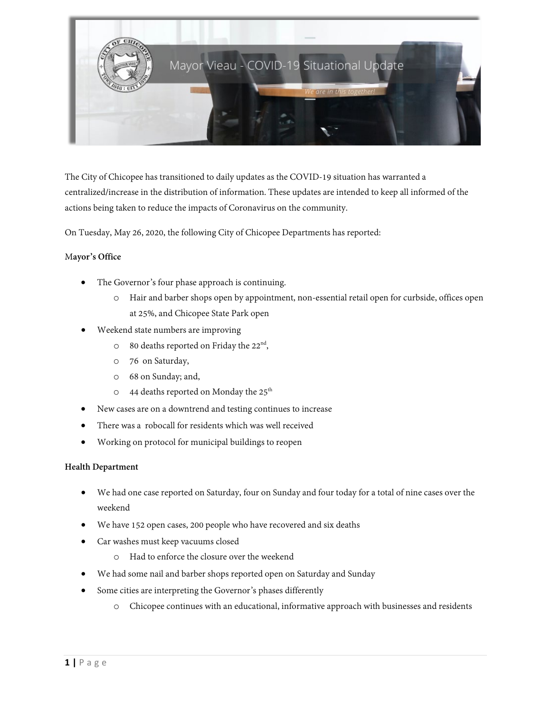

The City of Chicopee has transitioned to daily updates as the COVID-19 situation has warranted a centralized/increase in the distribution of information. These updates are intended to keep all informed of the actions being taken to reduce the impacts of Coronavirus on the community.

On Tuesday, May 26, 2020, the following City of Chicopee Departments has reported:

# M**ayor's Office**

- The Governor's four phase approach is continuing.
	- o Hair and barber shops open by appointment, non-essential retail open for curbside, offices open at 25%, and Chicopee State Park open
- Weekend state numbers are improving
	- $\circ$  80 deaths reported on Friday the 22<sup>nd</sup>,
	- o 76 on Saturday,
	- o 68 on Sunday; and,
	- $\circ$  44 deaths reported on Monday the 25<sup>th</sup>
- New cases are on a downtrend and testing continues to increase
- There was a robocall for residents which was well received
- Working on protocol for municipal buildings to reopen

### **Health Department**

- We had one case reported on Saturday, four on Sunday and four today for a total of nine cases over the weekend
- We have 152 open cases, 200 people who have recovered and six deaths
- Car washes must keep vacuums closed
	- o Had to enforce the closure over the weekend
- We had some nail and barber shops reported open on Saturday and Sunday
- Some cities are interpreting the Governor's phases differently
	- o Chicopee continues with an educational, informative approach with businesses and residents